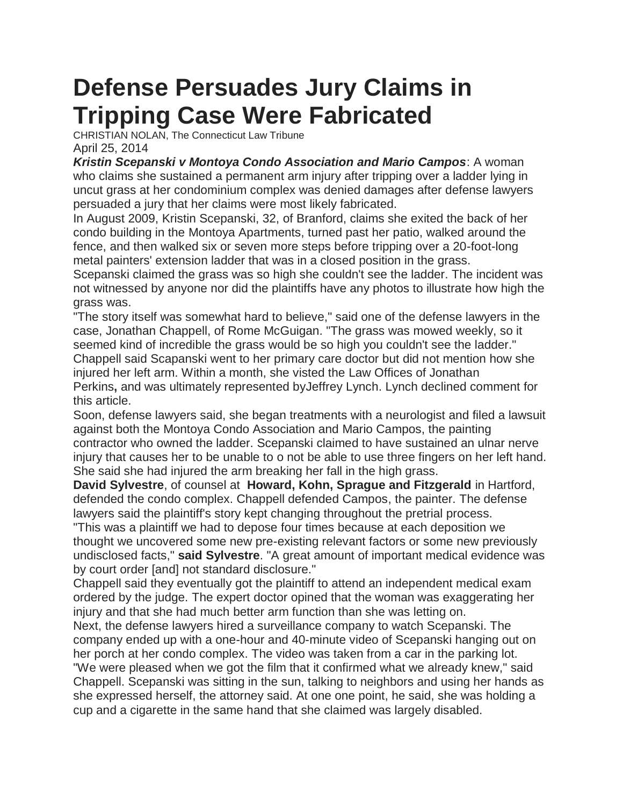## **Defense Persuades Jury Claims in Tripping Case Were Fabricated**

CHRISTIAN NOLAN, The Connecticut Law Tribune April 25, 2014

*Kristin Scepanski v Montoya Condo Association and Mario Campos*: A woman who claims she sustained a permanent arm injury after tripping over a ladder lying in uncut grass at her condominium complex was denied damages after defense lawyers persuaded a jury that her claims were most likely fabricated.

In August 2009, Kristin Scepanski, 32, of Branford, claims she exited the back of her condo building in the Montoya Apartments, turned past her patio, walked around the fence, and then walked six or seven more steps before tripping over a 20-foot-long metal painters' extension ladder that was in a closed position in the grass.

Scepanski claimed the grass was so high she couldn't see the ladder. The incident was not witnessed by anyone nor did the plaintiffs have any photos to illustrate how high the grass was.

"The story itself was somewhat hard to believe," said one of the defense lawyers in the case, Jonathan Chappell, of Rome McGuigan. "The grass was mowed weekly, so it seemed kind of incredible the grass would be so high you couldn't see the ladder." Chappell said Scapanski went to her primary care doctor but did not mention how she injured her left arm. Within a month, she visted the Law Offices of Jonathan Perkins**,** and was ultimately represented byJeffrey Lynch. Lynch declined comment for this article.

Soon, defense lawyers said, she began treatments with a neurologist and filed a lawsuit against both the Montoya Condo Association and Mario Campos, the painting contractor who owned the ladder. Scepanski claimed to have sustained an ulnar nerve injury that causes her to be unable to o not be able to use three fingers on her left hand. She said she had injured the arm breaking her fall in the high grass.

**David Sylvestre**, of counsel at **Howard, Kohn, Sprague and Fitzgerald** in Hartford, defended the condo complex. Chappell defended Campos, the painter. The defense lawyers said the plaintiff's story kept changing throughout the pretrial process.

"This was a plaintiff we had to depose four times because at each deposition we thought we uncovered some new pre-existing relevant factors or some new previously undisclosed facts," **said Sylvestre**. "A great amount of important medical evidence was by court order [and] not standard disclosure."

Chappell said they eventually got the plaintiff to attend an independent medical exam ordered by the judge. The expert doctor opined that the woman was exaggerating her injury and that she had much better arm function than she was letting on.

Next, the defense lawyers hired a surveillance company to watch Scepanski. The company ended up with a one-hour and 40-minute video of Scepanski hanging out on her porch at her condo complex. The video was taken from a car in the parking lot.

"We were pleased when we got the film that it confirmed what we already knew," said Chappell. Scepanski was sitting in the sun, talking to neighbors and using her hands as she expressed herself, the attorney said. At one one point, he said, she was holding a cup and a cigarette in the same hand that she claimed was largely disabled.